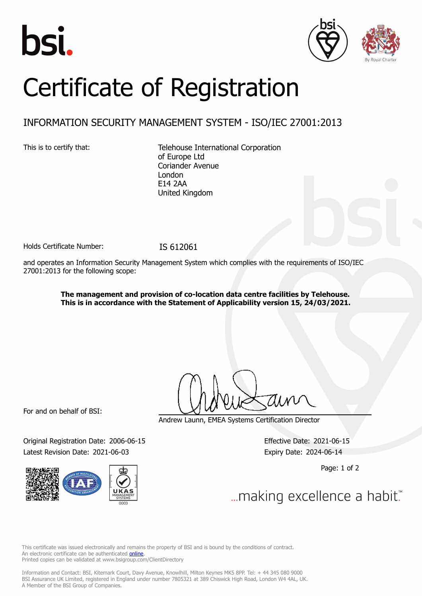





## Certificate of Registration

## INFORMATION SECURITY MANAGEMENT SYSTEM - ISO/IEC 27001:2013

This is to certify that: Telehouse International Corporation of Europe Ltd Coriander Avenue London E14 2AA United Kingdom

Holds Certificate Number: IS 612061

and operates an Information Security Management System which complies with the requirements of ISO/IEC 27001:2013 for the following scope:

> **The management and provision of co-location data centre facilities by Telehouse. This is in accordance with the Statement of Applicability version 15, 24/03/2021.**

For and on behalf of BSI:

Original Registration Date: 2006-06-15 Effective Date: 2021-06-15 Latest Revision Date: 2021-06-03 Expiry Date: 2024-06-14



Andrew Launn, EMEA Systems Certification Director

Page: 1 of 2

... making excellence a habit."

This certificate was issued electronically and remains the property of BSI and is bound by the conditions of contract. An electronic certificate can be authenticated **[online](https://pgplus.bsigroup.com/CertificateValidation/CertificateValidator.aspx?CertificateNumber=IS+612061&ReIssueDate=03%2f06%2f2021&Template=uk)** Printed copies can be validated at www.bsigroup.com/ClientDirectory

Information and Contact: BSI, Kitemark Court, Davy Avenue, Knowlhill, Milton Keynes MK5 8PP. Tel: + 44 345 080 9000 BSI Assurance UK Limited, registered in England under number 7805321 at 389 Chiswick High Road, London W4 4AL, UK. A Member of the BSI Group of Companies.